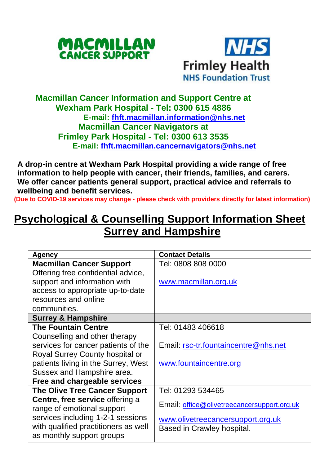



## **Macmillan Cancer Information and Support Centre at Wexham Park Hospital - Tel: 0300 615 4886 E-mail: [fhft.macmillan.information@nhs.net](mailto:fhft.macmillan.information@nhs.net) Macmillan Cancer Navigators at Frimley Park Hospital - Tel: 0300 613 3535 E-mail: [fhft.macmillan.cancernavigators@nhs.net](mailto:fhft.macmillan.cancernavigators@nhs.net)**

**A drop-in centre at Wexham Park Hospital providing a wide range of free information to help people with cancer, their friends, families, and carers. We offer cancer patients general support, practical advice and referrals to wellbeing and benefit services.**

**(Due to COVID-19 services may change - please check with providers directly for latest information)**

## **Psychological & Counselling Support Information Sheet Surrey and Hampshire**

| Agency                               | <b>Contact Details</b>                      |
|--------------------------------------|---------------------------------------------|
| <b>Macmillan Cancer Support</b>      | Tel: 0808 808 0000                          |
| Offering free confidential advice,   |                                             |
| support and information with         | www.macmillan.org.uk                        |
| access to appropriate up-to-date     |                                             |
| resources and online                 |                                             |
| communities.                         |                                             |
| <b>Surrey &amp; Hampshire</b>        |                                             |
| <b>The Fountain Centre</b>           | Tel: 01483 406618                           |
| Counselling and other therapy        |                                             |
| services for cancer patients of the  | Email: rsc-tr.fountaincentre@nhs.net        |
| Royal Surrey County hospital or      |                                             |
| patients living in the Surrey, West  | www.fountaincentre.org                      |
| Sussex and Hampshire area.           |                                             |
| Free and chargeable services         |                                             |
| The Olive Tree Cancer Support        | Tel: 01293 534465                           |
| Centre, free service offering a      |                                             |
| range of emotional support           | Email: office@olivetreecancersupport.org.uk |
| services including 1-2-1 sessions    | www.olivetreecancersupport.org.uk           |
| with qualified practitioners as well | Based in Crawley hospital.                  |
| as monthly support groups            |                                             |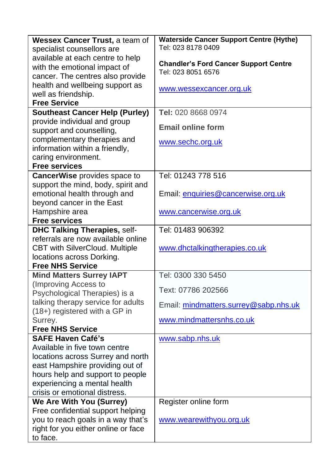| Wessex Cancer Trust, a team of        | <b>Waterside Cancer Support Centre (Hythe)</b> |  |
|---------------------------------------|------------------------------------------------|--|
| specialist counsellors are            | Tel: 023 8178 0409                             |  |
| available at each centre to help      |                                                |  |
| with the emotional impact of          | <b>Chandler's Ford Cancer Support Centre</b>   |  |
| cancer. The centres also provide      | Tel: 023 8051 6576                             |  |
| health and wellbeing support as       |                                                |  |
| well as friendship.                   | www.wessexcancer.org.uk                        |  |
| <b>Free Service</b>                   |                                                |  |
| <b>Southeast Cancer Help (Purley)</b> | Tel: 020 8668 0974                             |  |
| provide individual and group          |                                                |  |
| support and counselling,              | <b>Email online form</b>                       |  |
| complementary therapies and           | www.sechc.org.uk                               |  |
| information within a friendly,        |                                                |  |
| caring environment.                   |                                                |  |
| <b>Free services</b>                  |                                                |  |
| CancerWise provides space to          | Tel: 01243 778 516                             |  |
| support the mind, body, spirit and    |                                                |  |
| emotional health through and          | Email: enquiries@cancerwise.org.uk             |  |
| beyond cancer in the East             |                                                |  |
| Hampshire area                        | www.cancerwise.org.uk                          |  |
| <b>Free services</b>                  |                                                |  |
| <b>DHC Talking Therapies, self-</b>   | Tel: 01483 906392                              |  |
| referrals are now available online    |                                                |  |
| <b>CBT with SilverCloud. Multiple</b> | www.dhctalkingtherapies.co.uk                  |  |
| locations across Dorking.             |                                                |  |
| <b>Free NHS Service</b>               |                                                |  |
| <b>Mind Matters Surrey IAPT</b>       | Tel: 0300 330 5450                             |  |
| (Improving Access to                  | Text: 07786 202566                             |  |
| Psychological Therapies) is a         |                                                |  |
| talking therapy service for adults    | Email: mindmatters.surrey@sabp.nhs.uk          |  |
| (18+) registered with a GP in         | www.mindmattersnhs.co.uk                       |  |
| Surrey.<br><b>Free NHS Service</b>    |                                                |  |
| <b>SAFE Haven Café's</b>              | www.sabp.nhs.uk                                |  |
| Available in five town centre         |                                                |  |
| locations across Surrey and north     |                                                |  |
| east Hampshire providing out of       |                                                |  |
| hours help and support to people      |                                                |  |
| experiencing a mental health          |                                                |  |
| crisis or emotional distress.         |                                                |  |
| <b>We Are With You (Surrey)</b>       | Register online form                           |  |
| Free confidential support helping     |                                                |  |
| you to reach goals in a way that's    | www.wearewithyou.org.uk                        |  |
| right for you either online or face   |                                                |  |
| to face.                              |                                                |  |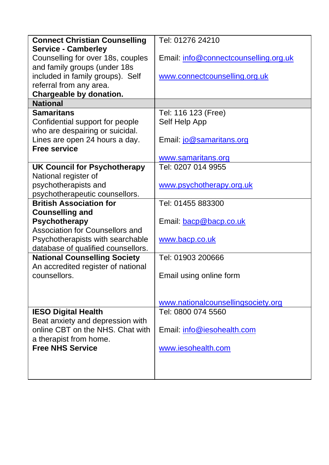|                                      | Tel: 01276 24210                      |
|--------------------------------------|---------------------------------------|
| <b>Connect Christian Counselling</b> |                                       |
| <b>Service - Camberley</b>           |                                       |
| Counselling for over 18s, couples    | Email: info@connectcounselling.org.uk |
| and family groups (under 18s         |                                       |
| included in family groups). Self     | www.connectcounselling.org.uk         |
| referral from any area.              |                                       |
| Chargeable by donation.              |                                       |
| <b>National</b>                      |                                       |
| <b>Samaritans</b>                    | Tel: 116 123 (Free)                   |
| Confidential support for people      | Self Help App                         |
| who are despairing or suicidal.      |                                       |
| Lines are open 24 hours a day.       | Email: jo@samaritans.org              |
| <b>Free service</b>                  |                                       |
|                                      | www.samaritans.org                    |
|                                      | Tel: 0207 014 9955                    |
| <b>UK Council for Psychotherapy</b>  |                                       |
| National register of                 |                                       |
| psychotherapists and                 | www.psychotherapy.org.uk              |
| psychotherapeutic counsellors.       |                                       |
| <b>British Association for</b>       | Tel: 01455 883300                     |
| <b>Counselling and</b>               |                                       |
| Psychotherapy                        | Email: bacp@bacp.co.uk                |
| Association for Counsellors and      |                                       |
| Psychotherapists with searchable     | www.bacp.co.uk                        |
| database of qualified counsellors.   |                                       |
| <b>National Counselling Society</b>  | Tel: 01903 200666                     |
| An accredited register of national   |                                       |
| counsellors.                         | Email using online form               |
|                                      |                                       |
|                                      |                                       |
|                                      | www.nationalcounsellingsociety.org    |
| <b>IESO Digital Health</b>           | Tel: 0800 074 5560                    |
| Beat anxiety and depression with     |                                       |
|                                      |                                       |
| online CBT on the NHS. Chat with     | Email: info@iesohealth.com            |
| a therapist from home.               |                                       |
| <b>Free NHS Service</b>              | www.iesohealth.com                    |
|                                      |                                       |
|                                      |                                       |
|                                      |                                       |